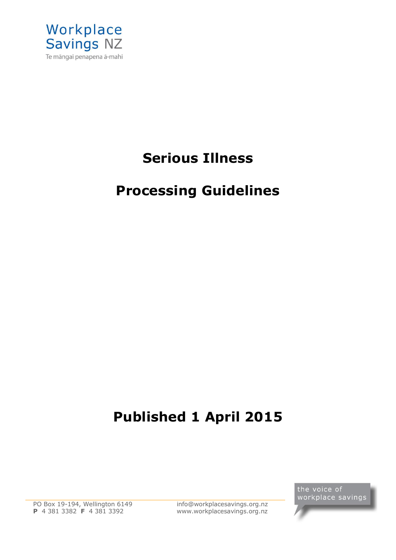

# **Serious Illness**

# **Processing Guidelines**

# **Published 1 April 2015**

 PO Box 19-194, Wellington 6149 **P** 4 381 3382 **F** 4 381 3392

[info@workplacesavings.org.nz](mailto:info@workplacesavings.org.nz) [www.workplacesavings.org.nz](http://www.workplacesavings.org.nz/)

the voice of workplace savings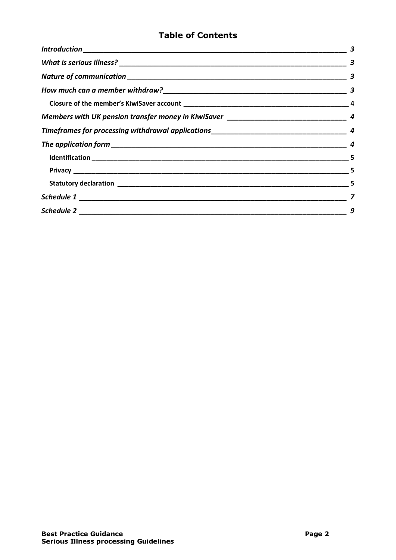# **Table of Contents**

| 3 |
|---|
| 3 |
|   |
|   |
|   |
|   |
|   |
|   |
|   |
|   |
|   |
| 9 |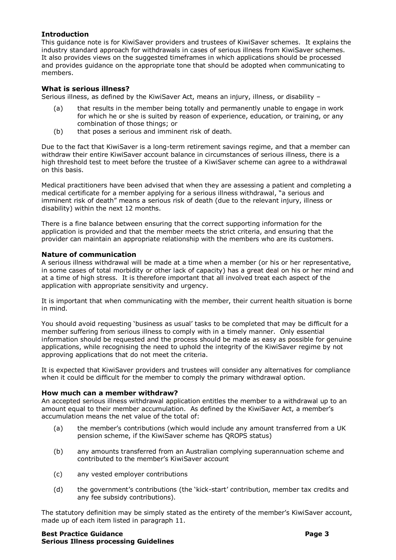# <span id="page-2-0"></span>**Introduction**

This guidance note is for KiwiSaver providers and trustees of KiwiSaver schemes. It explains the industry standard approach for withdrawals in cases of serious illness from KiwiSaver schemes. It also provides views on the suggested timeframes in which applications should be processed and provides guidance on the appropriate tone that should be adopted when communicating to members.

# <span id="page-2-1"></span>**What is serious illness?**

Serious illness, as defined by the KiwiSaver Act, means an injury, illness, or disability –

- (a) that results in the member being totally and permanently unable to engage in work for which he or she is suited by reason of experience, education, or training, or any combination of those things; or
- (b) that poses a serious and imminent risk of death.

Due to the fact that KiwiSaver is a long-term retirement savings regime, and that a member can withdraw their entire KiwiSaver account balance in circumstances of serious illness, there is a high threshold test to meet before the trustee of a KiwiSaver scheme can agree to a withdrawal on this basis.

Medical practitioners have been advised that when they are assessing a patient and completing a medical certificate for a member applying for a serious illness withdrawal, "a serious and imminent risk of death" means a serious risk of death (due to the relevant injury, illness or disability) within the next 12 months.

There is a fine balance between ensuring that the correct supporting information for the application is provided and that the member meets the strict criteria, and ensuring that the provider can maintain an appropriate relationship with the members who are its customers.

# <span id="page-2-2"></span>**Nature of communication**

A serious illness withdrawal will be made at a time when a member (or his or her representative, in some cases of total morbidity or other lack of capacity) has a great deal on his or her mind and at a time of high stress. It is therefore important that all involved treat each aspect of the application with appropriate sensitivity and urgency.

It is important that when communicating with the member, their current health situation is borne in mind.

You should avoid requesting 'business as usual' tasks to be completed that may be difficult for a member suffering from serious illness to comply with in a timely manner. Only essential information should be requested and the process should be made as easy as possible for genuine applications, while recognising the need to uphold the integrity of the KiwiSaver regime by not approving applications that do not meet the criteria.

It is expected that KiwiSaver providers and trustees will consider any alternatives for compliance when it could be difficult for the member to comply the primary withdrawal option.

# <span id="page-2-3"></span>**How much can a member withdraw?**

An accepted serious illness withdrawal application entitles the member to a withdrawal up to an amount equal to their member accumulation. As defined by the KiwiSaver Act, a member's accumulation means the net value of the total of:

- (a) the member's contributions (which would include any amount transferred from a UK pension scheme, if the KiwiSaver scheme has QROPS status)
- (b) any amounts transferred from an Australian complying superannuation scheme and contributed to the member's KiwiSaver account
- (c) any vested employer contributions
- (d) the government's contributions (the 'kick-start' contribution, member tax credits and any fee subsidy contributions).

The statutory definition may be simply stated as the entirety of the member's KiwiSaver account, made up of each item listed in paragraph 11.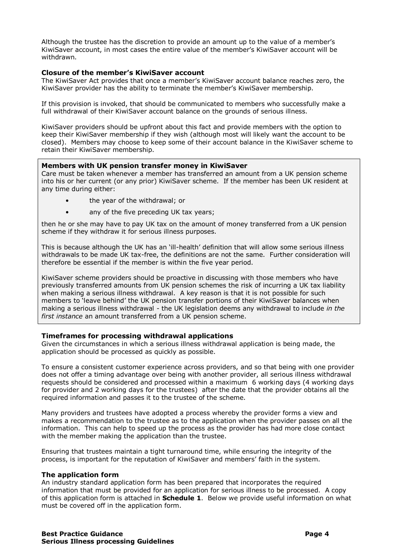Although the trustee has the discretion to provide an amount up to the value of a member's KiwiSaver account, in most cases the entire value of the member's KiwiSaver account will be withdrawn.

#### <span id="page-3-0"></span>**Closure of the member's KiwiSaver account**

The KiwiSaver Act provides that once a member's KiwiSaver account balance reaches zero, the KiwiSaver provider has the ability to terminate the member's KiwiSaver membership.

If this provision is invoked, that should be communicated to members who successfully make a full withdrawal of their KiwiSaver account balance on the grounds of serious illness.

KiwiSaver providers should be upfront about this fact and provide members with the option to keep their KiwiSaver membership if they wish (although most will likely want the account to be closed). Members may choose to keep some of their account balance in the KiwiSaver scheme to retain their KiwiSaver membership.

#### <span id="page-3-1"></span>**Members with UK pension transfer money in KiwiSaver**

Care must be taken whenever a member has transferred an amount from a UK pension scheme into his or her current (or any prior) KiwiSaver scheme. If the member has been UK resident at any time during either:

- the year of the withdrawal; or
- any of the five preceding UK tax years;

then he or she may have to pay UK tax on the amount of money transferred from a UK pension scheme if they withdraw it for serious illness purposes.

This is because although the UK has an 'ill-health' definition that will allow some serious illness withdrawals to be made UK tax-free, the definitions are not the same. Further consideration will therefore be essential if the member is within the five year period.

KiwiSaver scheme providers should be proactive in discussing with those members who have previously transferred amounts from UK pension schemes the risk of incurring a UK tax liability when making a serious illness withdrawal. A key reason is that it is not possible for such members to 'leave behind' the UK pension transfer portions of their KiwiSaver balances when making a serious illness withdrawal - the UK legislation deems any withdrawal to include *in the first instance* an amount transferred from a UK pension scheme.

#### <span id="page-3-2"></span>**Timeframes for processing withdrawal applications**

Given the circumstances in which a serious illness withdrawal application is being made, the application should be processed as quickly as possible.

To ensure a consistent customer experience across providers, and so that being with one provider does not offer a timing advantage over being with another provider, all serious illness withdrawal requests should be considered and processed within a maximum 6 working days (4 working days for provider and 2 working days for the trustees) after the date that the provider obtains all the required information and passes it to the trustee of the scheme.

Many providers and trustees have adopted a process whereby the provider forms a view and makes a recommendation to the trustee as to the application when the provider passes on all the information. This can help to speed up the process as the provider has had more close contact with the member making the application than the trustee.

Ensuring that trustees maintain a tight turnaround time, while ensuring the integrity of the process, is important for the reputation of KiwiSaver and members' faith in the system.

#### <span id="page-3-3"></span>**The application form**

An industry standard application form has been prepared that incorporates the required information that must be provided for an application for serious illness to be processed. A copy of this application form is attached in **Schedule 1**. Below we provide useful information on what must be covered off in the application form.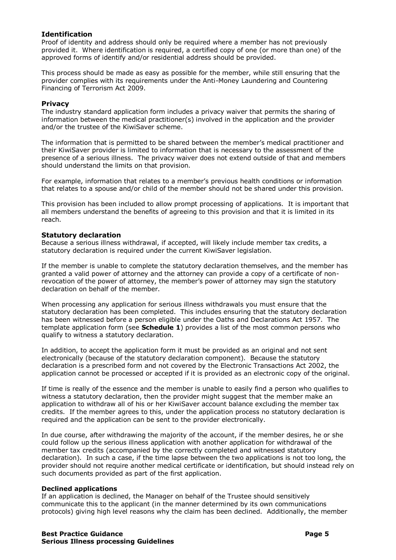# <span id="page-4-0"></span>**Identification**

Proof of identity and address should only be required where a member has not previously provided it. Where identification is required, a certified copy of one (or more than one) of the approved forms of identify and/or residential address should be provided.

This process should be made as easy as possible for the member, while still ensuring that the provider complies with its requirements under the Anti-Money Laundering and Countering Financing of Terrorism Act 2009.

# <span id="page-4-1"></span>**Privacy**

The industry standard application form includes a privacy waiver that permits the sharing of information between the medical practitioner(s) involved in the application and the provider and/or the trustee of the KiwiSaver scheme.

The information that is permitted to be shared between the member's medical practitioner and their KiwiSaver provider is limited to information that is necessary to the assessment of the presence of a serious illness. The privacy waiver does not extend outside of that and members should understand the limits on that provision.

For example, information that relates to a member's previous health conditions or information that relates to a spouse and/or child of the member should not be shared under this provision.

This provision has been included to allow prompt processing of applications. It is important that all members understand the benefits of agreeing to this provision and that it is limited in its reach.

# <span id="page-4-2"></span>**Statutory declaration**

Because a serious illness withdrawal, if accepted, will likely include member tax credits, a statutory declaration is required under the current KiwiSaver legislation.

If the member is unable to complete the statutory declaration themselves, and the member has granted a valid power of attorney and the attorney can provide a copy of a certificate of nonrevocation of the power of attorney, the member's power of attorney may sign the statutory declaration on behalf of the member.

When processing any application for serious illness withdrawals you must ensure that the statutory declaration has been completed. This includes ensuring that the statutory declaration has been witnessed before a person eligible under the Oaths and Declarations Act 1957. The template application form (see **Schedule 1**) provides a list of the most common persons who qualify to witness a statutory declaration.

In addition, to accept the application form it must be provided as an original and not sent electronically (because of the statutory declaration component). Because the statutory declaration is a prescribed form and not covered by the Electronic Transactions Act 2002, the application cannot be processed or accepted if it is provided as an electronic copy of the original.

If time is really of the essence and the member is unable to easily find a person who qualifies to witness a statutory declaration, then the provider might suggest that the member make an application to withdraw all of his or her KiwiSaver account balance excluding the member tax credits. If the member agrees to this, under the application process no statutory declaration is required and the application can be sent to the provider electronically.

In due course, after withdrawing the majority of the account, if the member desires, he or she could follow up the serious illness application with another application for withdrawal of the member tax credits (accompanied by the correctly completed and witnessed statutory declaration). In such a case, if the time lapse between the two applications is not too long, the provider should not require another medical certificate or identification, but should instead rely on such documents provided as part of the first application.

#### **Declined applications**

If an application is declined, the Manager on behalf of the Trustee should sensitively communicate this to the applicant (in the manner determined by its own communications protocols) giving high level reasons why the claim has been declined. Additionally, the member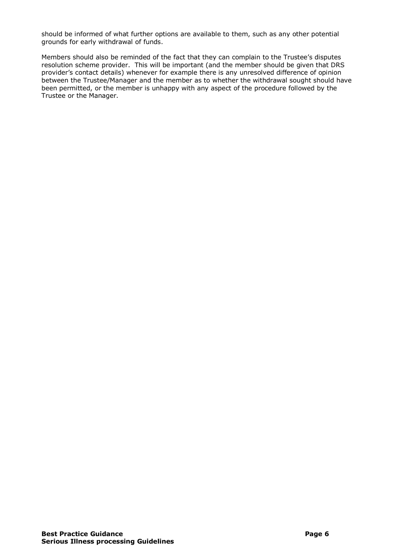should be informed of what further options are available to them, such as any other potential grounds for early withdrawal of funds.

Members should also be reminded of the fact that they can complain to the Trustee's disputes resolution scheme provider. This will be important (and the member should be given that DRS provider's contact details) whenever for example there is any unresolved difference of opinion between the Trustee/Manager and the member as to whether the withdrawal sought should have been permitted, or the member is unhappy with any aspect of the procedure followed by the Trustee or the Manager.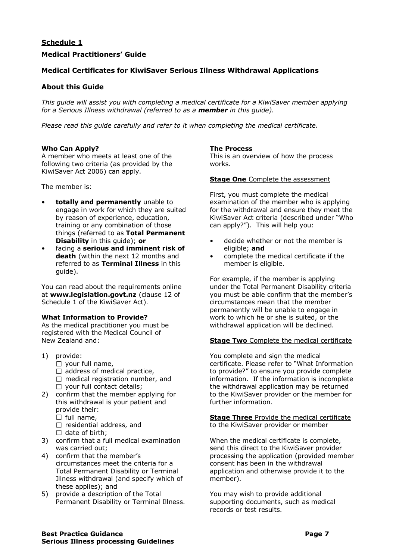# <span id="page-6-0"></span>**Schedule 1**

# **Medical Practitioners' Guide**

# **Medical Certificates for KiwiSaver Serious Illness Withdrawal Applications**

# **About this Guide**

*This guide will assist you with completing a medical certificate for a KiwiSaver member applying for a Serious Illness withdrawal (referred to as a member in this guide).*

*Please read this guide carefully and refer to it when completing the medical certificate.*

#### **Who Can Apply?**

A member who meets at least one of the following two criteria (as provided by the KiwiSaver Act 2006) can apply.

The member is:

- **totally and permanently** unable to engage in work for which they are suited by reason of experience, education, training or any combination of those things (referred to as **Total Permanent Disability** in this guide); **or**
- facing a **serious and imminent risk of death** (within the next 12 months and referred to as **Terminal Illness** in this guide).

You can read about the requirements online at **www.legislation.govt.nz** (clause 12 of Schedule 1 of the KiwiSaver Act).

#### **What Information to Provide?**

As the medical practitioner you must be registered with the Medical Council of New Zealand and:

- 1) provide:
	- $\Box$  your full name,
	- $\Box$  address of medical practice,
	- $\Box$  medical registration number, and
	- $\Box$  your full contact details;
- 2) confirm that the member applying for this withdrawal is your patient and provide their:
	- $\Box$  full name,
	- $\square$  residential address, and
	- $\Box$  date of birth;
- 3) confirm that a full medical examination was carried out;
- 4) confirm that the member's circumstances meet the criteria for a Total Permanent Disability or Terminal Illness withdrawal (and specify which of these applies); and
- 5) provide a description of the Total Permanent Disability or Terminal Illness.

# **The Process**

This is an overview of how the process works.

#### **Stage One** Complete the assessment

First, you must complete the medical examination of the member who is applying for the withdrawal and ensure they meet the KiwiSaver Act criteria (described under "Who can apply?"). This will help you:

- decide whether or not the member is eligible; **and**
- complete the medical certificate if the member is eligible.

For example, if the member is applying under the Total Permanent Disability criteria you must be able confirm that the member's circumstances mean that the member permanently will be unable to engage in work to which he or she is suited, or the withdrawal application will be declined.

#### **Stage Two** Complete the medical certificate

You complete and sign the medical certificate. Please refer to "What Information to provide?" to ensure you provide complete information. If the information is incomplete the withdrawal application may be returned to the KiwiSaver provider or the member for further information.

#### **Stage Three** Provide the medical certificate to the KiwiSaver provider or member

When the medical certificate is complete, send this direct to the KiwiSaver provider processing the application (provided member consent has been in the withdrawal application and otherwise provide it to the member).

You may wish to provide additional supporting documents, such as medical records or test results.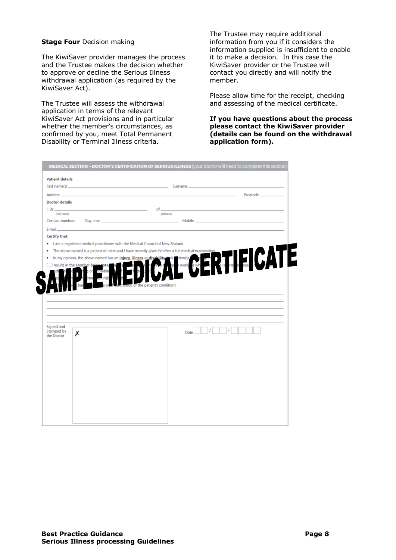#### **Stage Four** Decision making

 $\overline{\phantom{a}}$  $\overline{\phantom{a}}$  The KiwiSaver provider manages the process and the Trustee makes the decision whether to approve or decline the Serious Illness withdrawal application (as required by the KiwiSaver Act).

The Trustee will assess the withdrawal application in terms of the relevant KiwiSaver Act provisions and in particular whether the member's circumstances, as confirmed by you, meet Total Permanent Disability or Terminal Illness criteria.

The Trustee may require additional information from you if it considers the information supplied is insufficient to enable it to make a decision. In this case the KiwiSaver provider or the Trustee will contact you directly and will notify the member.

Please allow time for the receipt, checking and assessing of the medical certificate.

**If you have questions about the process please contact the KiwiSaver provider (details can be found on the withdrawal application form).** 

|                                        | <b>Patient details</b>                                                     |                                                                                                                                                                                                                   |                                                                                                                                                                                                                                          |  |
|----------------------------------------|----------------------------------------------------------------------------|-------------------------------------------------------------------------------------------------------------------------------------------------------------------------------------------------------------------|------------------------------------------------------------------------------------------------------------------------------------------------------------------------------------------------------------------------------------------|--|
| First name(s)                          |                                                                            |                                                                                                                                                                                                                   | <b>Surname <i>Contract Contract Contract Contract Contract Contract Contract Contract Contract Contract Contract Contract Contract Contract Contract Contract Contract Contract Contract Contract Contract Contract Contract Con</i></b> |  |
| Address <sub>-</sub>                   | the control of the control of the control of the control of the control of |                                                                                                                                                                                                                   | Postcode_                                                                                                                                                                                                                                |  |
| <b>Doctor details</b>                  |                                                                            |                                                                                                                                                                                                                   |                                                                                                                                                                                                                                          |  |
| $L$ Dr $-$                             |                                                                            | of                                                                                                                                                                                                                |                                                                                                                                                                                                                                          |  |
| (Full name)<br>Contact numbers         |                                                                            | (address)                                                                                                                                                                                                         |                                                                                                                                                                                                                                          |  |
|                                        | Day time                                                                   |                                                                                                                                                                                                                   |                                                                                                                                                                                                                                          |  |
| E-mail                                 |                                                                            |                                                                                                                                                                                                                   |                                                                                                                                                                                                                                          |  |
| Certify that:                          |                                                                            |                                                                                                                                                                                                                   |                                                                                                                                                                                                                                          |  |
| ٠                                      |                                                                            | I am a registered medical practitioner with the Medical Council of New Zealand.                                                                                                                                   |                                                                                                                                                                                                                                          |  |
|                                        |                                                                            | The above-named is a patient of mine and I have recently given him/her a full medical examination.<br>In my opinion, the above named has an <i>injury</i> , <i>illness</i> or <i>disability</i> (ick otion(s) the | <b>FICATE</b>                                                                                                                                                                                                                            |  |
|                                        | results in the Member being total                                          |                                                                                                                                                                                                                   | r wh<br>n work                                                                                                                                                                                                                           |  |
|                                        | combin                                                                     | the patient's condition):                                                                                                                                                                                         |                                                                                                                                                                                                                                          |  |
|                                        |                                                                            |                                                                                                                                                                                                                   |                                                                                                                                                                                                                                          |  |
|                                        |                                                                            |                                                                                                                                                                                                                   |                                                                                                                                                                                                                                          |  |
|                                        |                                                                            |                                                                                                                                                                                                                   |                                                                                                                                                                                                                                          |  |
|                                        |                                                                            |                                                                                                                                                                                                                   |                                                                                                                                                                                                                                          |  |
|                                        |                                                                            |                                                                                                                                                                                                                   |                                                                                                                                                                                                                                          |  |
|                                        |                                                                            |                                                                                                                                                                                                                   |                                                                                                                                                                                                                                          |  |
|                                        |                                                                            |                                                                                                                                                                                                                   |                                                                                                                                                                                                                                          |  |
|                                        | Х                                                                          |                                                                                                                                                                                                                   | Date                                                                                                                                                                                                                                     |  |
|                                        |                                                                            |                                                                                                                                                                                                                   |                                                                                                                                                                                                                                          |  |
|                                        |                                                                            |                                                                                                                                                                                                                   |                                                                                                                                                                                                                                          |  |
|                                        |                                                                            |                                                                                                                                                                                                                   |                                                                                                                                                                                                                                          |  |
|                                        |                                                                            |                                                                                                                                                                                                                   |                                                                                                                                                                                                                                          |  |
|                                        |                                                                            |                                                                                                                                                                                                                   |                                                                                                                                                                                                                                          |  |
|                                        |                                                                            |                                                                                                                                                                                                                   |                                                                                                                                                                                                                                          |  |
|                                        |                                                                            |                                                                                                                                                                                                                   |                                                                                                                                                                                                                                          |  |
| Signed and<br>Stamped by<br>the Doctor |                                                                            |                                                                                                                                                                                                                   |                                                                                                                                                                                                                                          |  |
|                                        |                                                                            |                                                                                                                                                                                                                   |                                                                                                                                                                                                                                          |  |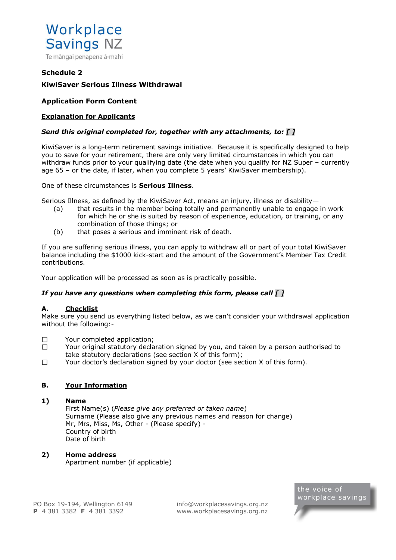

# <span id="page-8-0"></span>**Schedule 2**

# **KiwiSaver Serious Illness Withdrawal**

# **Application Form Content**

# **Explanation for Applicants**

# *Send this original completed for, together with any attachments, to: [ ]*

KiwiSaver is a long-term retirement savings initiative. Because it is specifically designed to help you to save for your retirement, there are only very limited circumstances in which you can withdraw funds prior to your qualifying date (the date when you qualify for NZ Super – currently age 65 – or the date, if later, when you complete 5 years' KiwiSaver membership).

#### One of these circumstances is **Serious Illness**.

Serious Illness, as defined by the KiwiSaver Act, means an injury, illness or disability—

- (a) that results in the member being totally and permanently unable to engage in work for which he or she is suited by reason of experience, education, or training, or any combination of those things; or
- (b) that poses a serious and imminent risk of death.

If you are suffering serious illness, you can apply to withdraw all or part of your total KiwiSaver balance including the \$1000 kick-start and the amount of the Government's Member Tax Credit contributions.

Your application will be processed as soon as is practically possible.

# *If you have any questions when completing this form, please call [ ]*

# **A. Checklist**

Make sure you send us everything listed below, as we can't consider your withdrawal application without the following:-

- $\Box$ Your completed application;
- $\Box$ Your original statutory declaration signed by you, and taken by a person authorised to take statutory declarations (see section X of this form);
- $\Box$ Your doctor's declaration signed by your doctor (see section X of this form).

# **B. Your Information**

# **1) Name**

First Name(s) (*Please give any preferred or taken name*) Surname (Please also give any previous names and reason for change) Mr, Mrs, Miss, Ms, Other - (Please specify) - Country of birth Date of birth

# **2) Home address**

Apartment number (if applicable)

the voice of workplace savings

[info@workplacesavings.org.nz](mailto:info@workplacesavings.org.nz) [www.workplacesavings.org.nz](http://www.workplacesavings.org.nz/)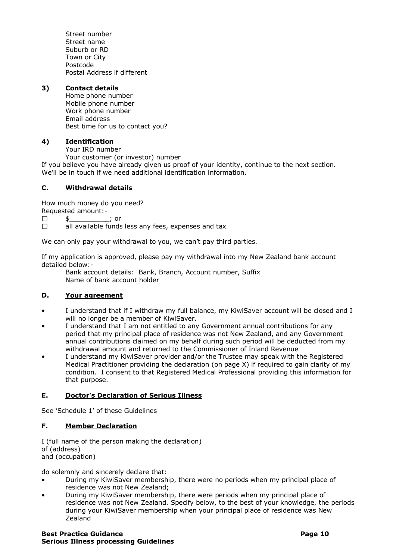Street number Street name Suburb or RD Town or City Postcode Postal Address if different

# **3) Contact details**

Home phone number Mobile phone number Work phone number Email address Best time for us to contact you?

# **4) Identification**

Your IRD number

Your customer (or investor) number

If you believe you have already given us proof of your identity, continue to the next section. We'll be in touch if we need additional identification information.

# **C. Withdrawal details**

How much money do you need?

Requested amount:-  $\Box$ 

 $\updownarrow$   $\qquad \qquad$  ; or  $\Box$ all available funds less any fees, expenses and tax

We can only pay your withdrawal to you, we can't pay third parties.

If my application is approved, please pay my withdrawal into my New Zealand bank account detailed below:-

Bank account details: Bank, Branch, Account number, Suffix Name of bank account holder

# **D. Your agreement**

- I understand that if I withdraw my full balance, my KiwiSaver account will be closed and I will no longer be a member of KiwiSaver.
- I understand that I am not entitled to any Government annual contributions for any period that my principal place of residence was not New Zealand, and any Government annual contributions claimed on my behalf during such period will be deducted from my withdrawal amount and returned to the Commissioner of Inland Revenue
- I understand my KiwiSaver provider and/or the Trustee may speak with the Registered Medical Practitioner providing the declaration (on page X) if required to gain clarity of my condition. I consent to that Registered Medical Professional providing this information for that purpose.

# **E. Doctor's Declaration of Serious Illness**

See 'Schedule 1' of these Guidelines

# **F. Member Declaration**

I (full name of the person making the declaration) of (address) and (occupation)

do solemnly and sincerely declare that:

- During my KiwiSaver membership, there were no periods when my principal place of residence was not New Zealand;
- During my KiwiSaver membership, there were periods when my principal place of residence was not New Zealand. Specify below, to the best of your knowledge, the periods during your KiwiSaver membership when your principal place of residence was New Zealand